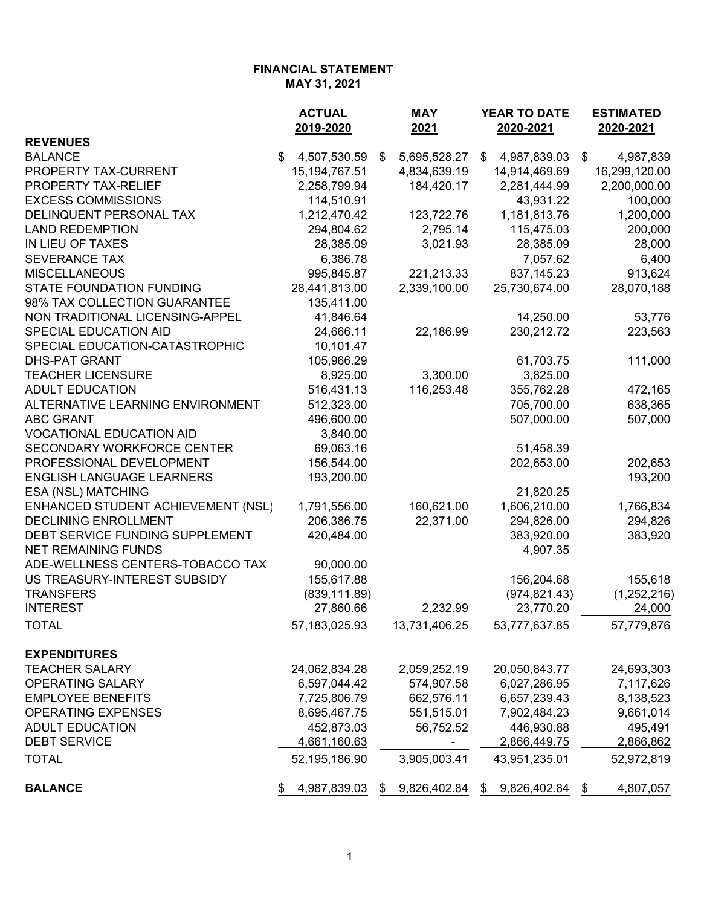|                                    | <b>ACTUAL</b>      | <b>MAY</b>         | YEAR TO DATE       | <b>ESTIMATED</b> |
|------------------------------------|--------------------|--------------------|--------------------|------------------|
|                                    | 2019-2020          | 2021               | 2020-2021          | 2020-2021        |
| <b>REVENUES</b>                    |                    |                    |                    |                  |
| <b>BALANCE</b>                     | \$<br>4,507,530.59 | 5,695,528.27<br>\$ | \$<br>4,987,839.03 | \$<br>4,987,839  |
| PROPERTY TAX-CURRENT               | 15, 194, 767. 51   | 4,834,639.19       | 14,914,469.69      | 16,299,120.00    |
| PROPERTY TAX-RELIEF                | 2,258,799.94       | 184,420.17         | 2,281,444.99       | 2,200,000.00     |
| <b>EXCESS COMMISSIONS</b>          | 114,510.91         |                    | 43,931.22          | 100,000          |
| DELINQUENT PERSONAL TAX            | 1,212,470.42       | 123,722.76         | 1,181,813.76       | 1,200,000        |
| <b>LAND REDEMPTION</b>             | 294,804.62         | 2,795.14           | 115,475.03         | 200,000          |
| IN LIEU OF TAXES                   | 28,385.09          | 3,021.93           | 28,385.09          | 28,000           |
| <b>SEVERANCE TAX</b>               | 6,386.78           |                    | 7,057.62           | 6,400            |
| <b>MISCELLANEOUS</b>               | 995,845.87         | 221,213.33         | 837, 145.23        | 913,624          |
| <b>STATE FOUNDATION FUNDING</b>    | 28,441,813.00      | 2,339,100.00       | 25,730,674.00      | 28,070,188       |
| 98% TAX COLLECTION GUARANTEE       | 135,411.00         |                    |                    |                  |
| NON TRADITIONAL LICENSING-APPEL    | 41,846.64          |                    | 14,250.00          | 53,776           |
| <b>SPECIAL EDUCATION AID</b>       | 24,666.11          | 22,186.99          | 230,212.72         | 223,563          |
| SPECIAL EDUCATION-CATASTROPHIC     | 10,101.47          |                    |                    |                  |
| <b>DHS-PAT GRANT</b>               | 105,966.29         |                    | 61,703.75          | 111,000          |
| <b>TEACHER LICENSURE</b>           | 8,925.00           | 3,300.00           | 3,825.00           |                  |
| <b>ADULT EDUCATION</b>             | 516,431.13         | 116,253.48         | 355,762.28         | 472,165          |
| ALTERNATIVE LEARNING ENVIRONMENT   | 512,323.00         |                    | 705,700.00         | 638,365          |
| <b>ABC GRANT</b>                   | 496,600.00         |                    | 507,000.00         | 507,000          |
| <b>VOCATIONAL EDUCATION AID</b>    | 3,840.00           |                    |                    |                  |
| <b>SECONDARY WORKFORCE CENTER</b>  | 69,063.16          |                    | 51,458.39          |                  |
| PROFESSIONAL DEVELOPMENT           | 156,544.00         |                    | 202,653.00         | 202,653          |
| <b>ENGLISH LANGUAGE LEARNERS</b>   | 193,200.00         |                    |                    | 193,200          |
| ESA (NSL) MATCHING                 |                    |                    | 21,820.25          |                  |
| ENHANCED STUDENT ACHIEVEMENT (NSL) | 1,791,556.00       | 160,621.00         | 1,606,210.00       | 1,766,834        |
| <b>DECLINING ENROLLMENT</b>        | 206,386.75         | 22,371.00          | 294,826.00         | 294,826          |
| DEBT SERVICE FUNDING SUPPLEMENT    | 420,484.00         |                    | 383,920.00         | 383,920          |
| <b>NET REMAINING FUNDS</b>         |                    |                    | 4,907.35           |                  |
| ADE-WELLNESS CENTERS-TOBACCO TAX   | 90,000.00          |                    |                    |                  |
| US TREASURY-INTEREST SUBSIDY       | 155,617.88         |                    | 156,204.68         | 155,618          |
| <b>TRANSFERS</b>                   | (839, 111.89)      |                    | (974, 821.43)      | (1,252,216)      |
| <b>INTEREST</b>                    | 27,860.66          | 2,232.99           | 23,770.20          | 24,000           |
| <b>TOTAL</b>                       | 57,183,025.93      | 13,731,406.25      | 53,777,637.85      | 57,779,876       |
| <b>EXPENDITURES</b>                |                    |                    |                    |                  |
| <b>TEACHER SALARY</b>              | 24,062,834.28      | 2,059,252.19       | 20,050,843.77      | 24,693,303       |
| <b>OPERATING SALARY</b>            | 6,597,044.42       | 574,907.58         | 6,027,286.95       | 7,117,626        |
| <b>EMPLOYEE BENEFITS</b>           | 7,725,806.79       | 662,576.11         | 6,657,239.43       | 8,138,523        |
| <b>OPERATING EXPENSES</b>          | 8,695,467.75       | 551,515.01         | 7,902,484.23       | 9,661,014        |
| <b>ADULT EDUCATION</b>             | 452,873.03         | 56,752.52          | 446,930.88         | 495,491          |
| <b>DEBT SERVICE</b>                | 4,661,160.63       |                    | 2,866,449.75       | 2,866,862        |
| <b>TOTAL</b>                       | 52,195,186.90      | 3,905,003.41       | 43,951,235.01      | 52,972,819       |
| <b>BALANCE</b>                     | 4,987,839.03       | 9,826,402.84<br>\$ | 9,826,402.84<br>\$ | 4,807,057        |
|                                    | \$                 |                    |                    | \$               |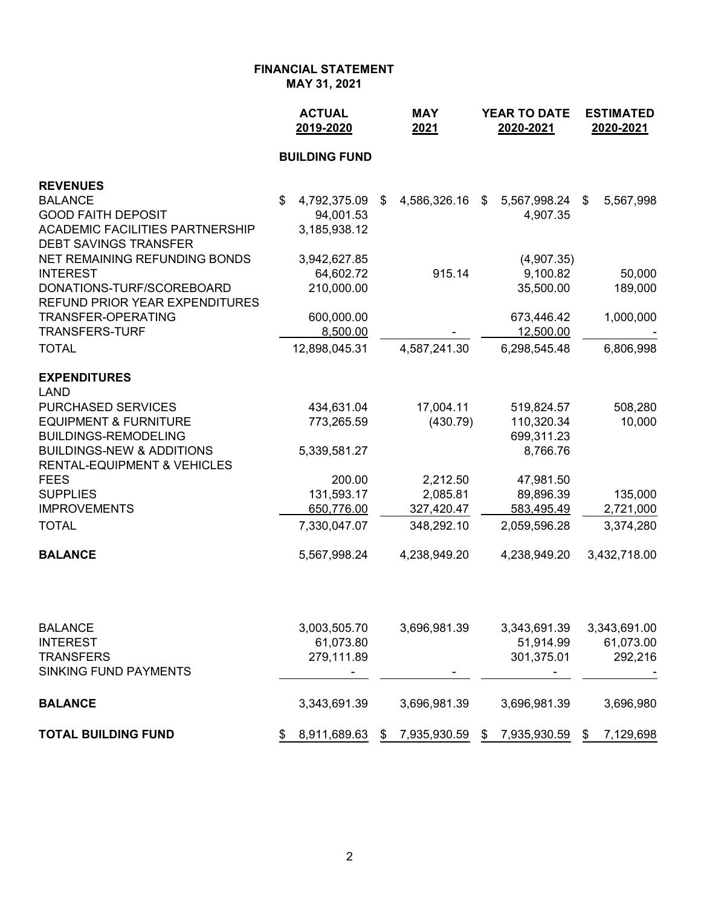|                                                                                | <b>ACTUAL</b><br>2019-2020 | <b>MAY</b><br>2021 | <b>YEAR TO DATE</b><br>2020-2021 | <b>ESTIMATED</b><br>2020-2021 |
|--------------------------------------------------------------------------------|----------------------------|--------------------|----------------------------------|-------------------------------|
|                                                                                | <b>BUILDING FUND</b>       |                    |                                  |                               |
| <b>REVENUES</b>                                                                |                            |                    |                                  |                               |
| <b>BALANCE</b>                                                                 | \$<br>4,792,375.09         | 4,586,326.16<br>\$ | 5,567,998.24<br>\$               | 5,567,998<br>\$               |
| <b>GOOD FAITH DEPOSIT</b>                                                      | 94,001.53                  |                    | 4,907.35                         |                               |
| ACADEMIC FACILITIES PARTNERSHIP                                                | 3,185,938.12               |                    |                                  |                               |
| <b>DEBT SAVINGS TRANSFER</b>                                                   |                            |                    |                                  |                               |
| NET REMAINING REFUNDING BONDS                                                  | 3,942,627.85               |                    | (4,907.35)                       |                               |
| <b>INTEREST</b><br>DONATIONS-TURF/SCOREBOARD                                   | 64,602.72<br>210,000.00    | 915.14             | 9,100.82<br>35,500.00            | 50,000                        |
| <b>REFUND PRIOR YEAR EXPENDITURES</b>                                          |                            |                    |                                  | 189,000                       |
| <b>TRANSFER-OPERATING</b>                                                      | 600,000.00                 |                    | 673,446.42                       | 1,000,000                     |
| <b>TRANSFERS-TURF</b>                                                          | 8,500.00                   |                    | 12,500.00                        |                               |
| <b>TOTAL</b>                                                                   | 12,898,045.31              | 4,587,241.30       | 6,298,545.48                     | 6,806,998                     |
| <b>EXPENDITURES</b>                                                            |                            |                    |                                  |                               |
| <b>LAND</b>                                                                    |                            |                    |                                  |                               |
| <b>PURCHASED SERVICES</b>                                                      | 434,631.04                 | 17,004.11          | 519,824.57                       | 508,280                       |
| <b>EQUIPMENT &amp; FURNITURE</b>                                               | 773,265.59                 | (430.79)           | 110,320.34                       | 10,000                        |
| <b>BUILDINGS-REMODELING</b>                                                    |                            |                    | 699,311.23                       |                               |
| <b>BUILDINGS-NEW &amp; ADDITIONS</b><br><b>RENTAL-EQUIPMENT &amp; VEHICLES</b> | 5,339,581.27               |                    | 8,766.76                         |                               |
| <b>FEES</b>                                                                    | 200.00                     | 2,212.50           | 47,981.50                        |                               |
| <b>SUPPLIES</b>                                                                | 131,593.17                 | 2,085.81           | 89,896.39                        | 135,000                       |
| <b>IMPROVEMENTS</b>                                                            | 650,776.00                 | 327,420.47         | 583,495.49                       | 2,721,000                     |
| <b>TOTAL</b>                                                                   | 7,330,047.07               | 348,292.10         | 2,059,596.28                     | 3,374,280                     |
| <b>BALANCE</b>                                                                 | 5,567,998.24               | 4,238,949.20       | 4,238,949.20                     | 3,432,718.00                  |
| <b>RAI ANCE</b>                                                                | 3 003 505 70               | 3.606.081.30       | 3 313 601 30                     | 3 313 601 00                  |

| <b>BALANCE</b>               | 3,003,505.70 |    | 3,696,981.39             |          | 3,343,691.39   |    | 3,343,691.00 |
|------------------------------|--------------|----|--------------------------|----------|----------------|----|--------------|
| <b>INTEREST</b>              | 61,073.80    |    |                          |          | 51,914.99      |    | 61,073.00    |
| <b>TRANSFERS</b>             | 279,111.89   |    |                          |          | 301,375.01     |    | 292,216      |
| <b>SINKING FUND PAYMENTS</b> |              |    | $\overline{\phantom{0}}$ |          | $\blacksquare$ |    |              |
| <b>BALANCE</b>               | 3,343,691.39 |    | 3,696,981.39             |          | 3,696,981.39   |    | 3,696,980    |
| <b>TOTAL BUILDING FUND</b>   | 8.911.689.63 | S. | 7,935,930.59             | <b>S</b> | 7,935,930.59   | S. | 7,129,698    |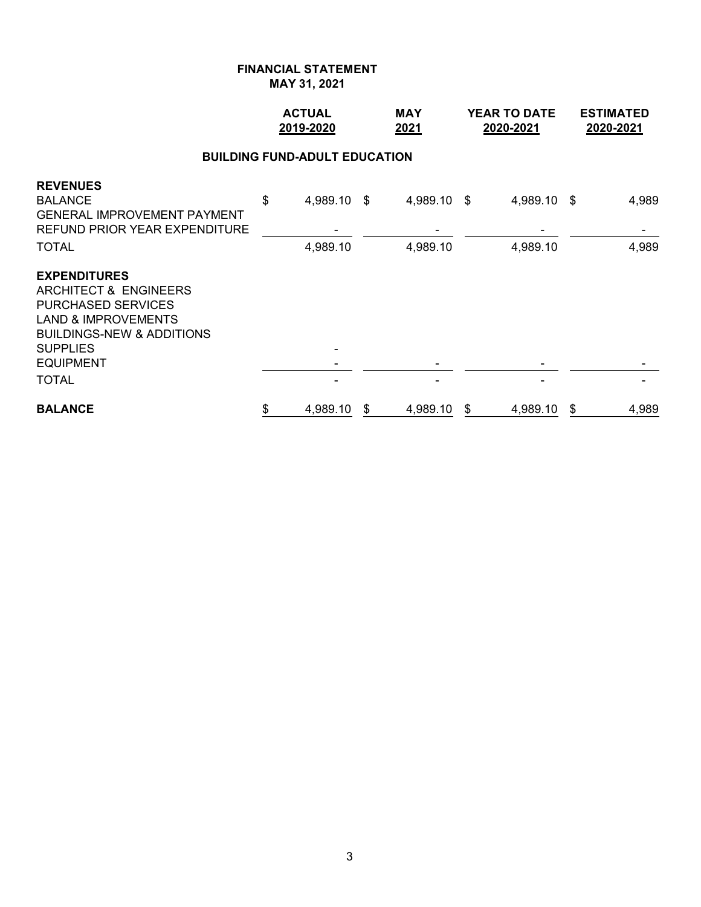|                                                                                                                                                                                                            | <b>ACTUAL</b><br>2019-2020           | <b>MAY</b><br>2021      | <b>YEAR TO DATE</b><br>2020-2021 | <b>ESTIMATED</b><br>2020-2021 |
|------------------------------------------------------------------------------------------------------------------------------------------------------------------------------------------------------------|--------------------------------------|-------------------------|----------------------------------|-------------------------------|
|                                                                                                                                                                                                            | <b>BUILDING FUND-ADULT EDUCATION</b> |                         |                                  |                               |
| <b>REVENUES</b><br><b>BALANCE</b><br><b>GENERAL IMPROVEMENT PAYMENT</b><br>REFUND PRIOR YEAR EXPENDITURE<br><b>TOTAL</b>                                                                                   | \$<br>4,989.10 \$<br>4,989.10        | 4,989.10 \$<br>4,989.10 | 4,989.10 \$<br>4,989.10          | 4,989<br>4,989                |
| <b>EXPENDITURES</b><br>ARCHITECT & ENGINEERS<br><b>PURCHASED SERVICES</b><br><b>LAND &amp; IMPROVEMENTS</b><br><b>BUILDINGS-NEW &amp; ADDITIONS</b><br><b>SUPPLIES</b><br><b>EQUIPMENT</b><br><b>TOTAL</b> |                                      |                         |                                  |                               |
| <b>BALANCE</b>                                                                                                                                                                                             | \$<br>4,989.10                       | \$<br>4,989.10          | \$<br>4,989.10                   | \$<br>4,989                   |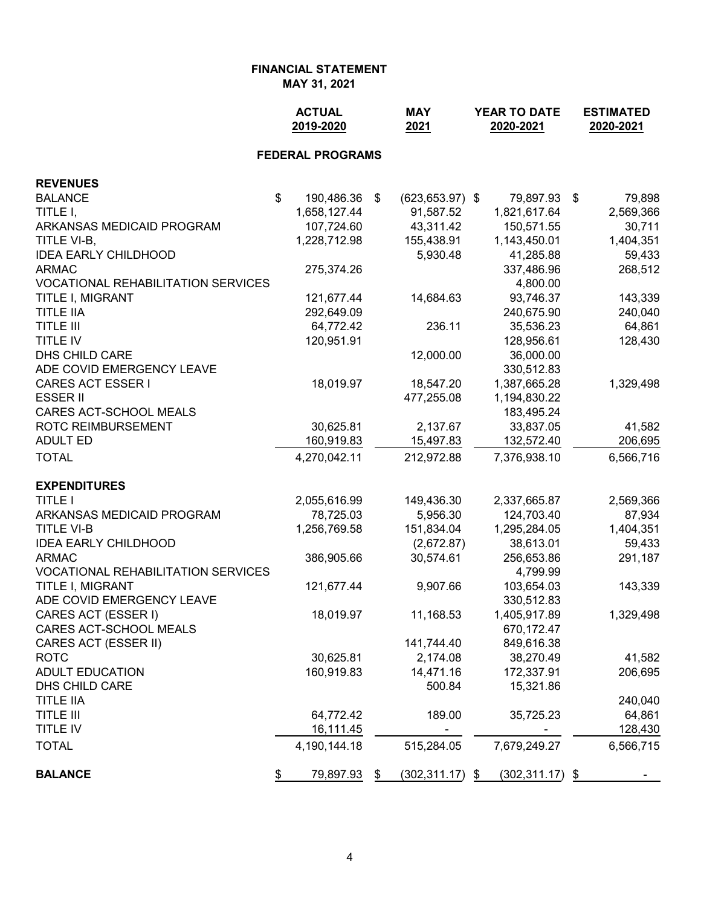# **FINANCIAL STATEMENT**

**MAY 31, 2021**

|                                           | <b>ACTUAL</b><br>2019-2020 |      | <b>MAY</b><br>2021 | YEAR TO DATE<br>2020-2021 | <b>ESTIMATED</b><br>2020-2021 |
|-------------------------------------------|----------------------------|------|--------------------|---------------------------|-------------------------------|
|                                           | <b>FEDERAL PROGRAMS</b>    |      |                    |                           |                               |
| <b>REVENUES</b>                           |                            |      |                    |                           |                               |
| <b>BALANCE</b>                            | \$<br>190,486.36           | - \$ | $(623, 653.97)$ \$ | 79,897.93 \$              | 79,898                        |
| TITLE I,                                  | 1,658,127.44               |      | 91,587.52          | 1,821,617.64              | 2,569,366                     |
| ARKANSAS MEDICAID PROGRAM                 | 107,724.60                 |      | 43,311.42          | 150,571.55                | 30,711                        |
| TITLE VI-B,                               | 1,228,712.98               |      | 155,438.91         | 1,143,450.01              | 1,404,351                     |
| <b>IDEA EARLY CHILDHOOD</b>               |                            |      | 5,930.48           | 41,285.88                 | 59,433                        |
| <b>ARMAC</b>                              | 275,374.26                 |      |                    | 337,486.96                | 268,512                       |
| <b>VOCATIONAL REHABILITATION SERVICES</b> |                            |      |                    | 4,800.00                  |                               |
| TITLE I, MIGRANT                          | 121,677.44                 |      | 14,684.63          | 93,746.37                 | 143,339                       |
| <b>TITLE IIA</b>                          | 292,649.09                 |      |                    | 240,675.90                | 240,040                       |
| <b>TITLE III</b>                          | 64,772.42                  |      | 236.11             | 35,536.23                 | 64,861                        |
| <b>TITLE IV</b>                           | 120,951.91                 |      |                    | 128,956.61                | 128,430                       |
| DHS CHILD CARE                            |                            |      | 12,000.00          | 36,000.00                 |                               |
| ADE COVID EMERGENCY LEAVE                 |                            |      |                    | 330,512.83                |                               |
| <b>CARES ACT ESSER I</b>                  | 18,019.97                  |      | 18,547.20          | 1,387,665.28              | 1,329,498                     |
| <b>ESSER II</b>                           |                            |      | 477,255.08         | 1,194,830.22              |                               |
| CARES ACT-SCHOOL MEALS                    |                            |      |                    | 183,495.24                |                               |
| <b>ROTC REIMBURSEMENT</b>                 | 30,625.81                  |      | 2,137.67           | 33,837.05                 | 41,582                        |
| <b>ADULT ED</b>                           | 160,919.83                 |      | 15,497.83          | 132,572.40                | 206,695                       |
| <b>TOTAL</b>                              | 4,270,042.11               |      | 212,972.88         | 7,376,938.10              | 6,566,716                     |
| <b>EXPENDITURES</b>                       |                            |      |                    |                           |                               |
| <b>TITLE I</b>                            | 2,055,616.99               |      | 149,436.30         | 2,337,665.87              | 2,569,366                     |
| ARKANSAS MEDICAID PROGRAM                 | 78,725.03                  |      | 5,956.30           | 124,703.40                | 87,934                        |
| <b>TITLE VI-B</b>                         | 1,256,769.58               |      | 151,834.04         | 1,295,284.05              | 1,404,351                     |
| <b>IDEA EARLY CHILDHOOD</b>               |                            |      | (2,672.87)         | 38,613.01                 | 59,433                        |
| <b>ARMAC</b>                              | 386,905.66                 |      | 30,574.61          | 256,653.86                | 291,187                       |
| <b>VOCATIONAL REHABILITATION SERVICES</b> |                            |      |                    | 4,799.99                  |                               |
| TITLE I, MIGRANT                          | 121,677.44                 |      | 9,907.66           | 103,654.03                | 143,339                       |
| ADE COVID EMERGENCY LEAVE                 |                            |      |                    | 330,512.83                |                               |
| CARES ACT (ESSER I)                       | 18,019.97                  |      | 11,168.53          | 1,405,917.89              | 1,329,498                     |
| CARES ACT-SCHOOL MEALS                    |                            |      |                    | 670,172.47                |                               |
| CARES ACT (ESSER II)                      |                            |      | 141,744.40         | 849,616.38                |                               |
| <b>ROTC</b>                               | 30,625.81                  |      | 2,174.08           | 38,270.49                 | 41,582                        |
| <b>ADULT EDUCATION</b>                    | 160,919.83                 |      | 14,471.16          | 172,337.91                | 206,695                       |
| DHS CHILD CARE                            |                            |      | 500.84             | 15,321.86                 |                               |
| <b>TITLE IIA</b>                          |                            |      |                    |                           | 240,040                       |
| <b>TITLE III</b>                          | 64,772.42                  |      | 189.00             | 35,725.23                 | 64,861                        |
| TITLE IV                                  | 16,111.45                  |      |                    |                           | 128,430                       |
| <b>TOTAL</b>                              | 4,190,144.18               |      | 515,284.05         | 7,679,249.27              | 6,566,715                     |
| <b>BALANCE</b>                            | \$<br>79,897.93            | \$   | $(302, 311.17)$ \$ | $(302, 311.17)$ \$        |                               |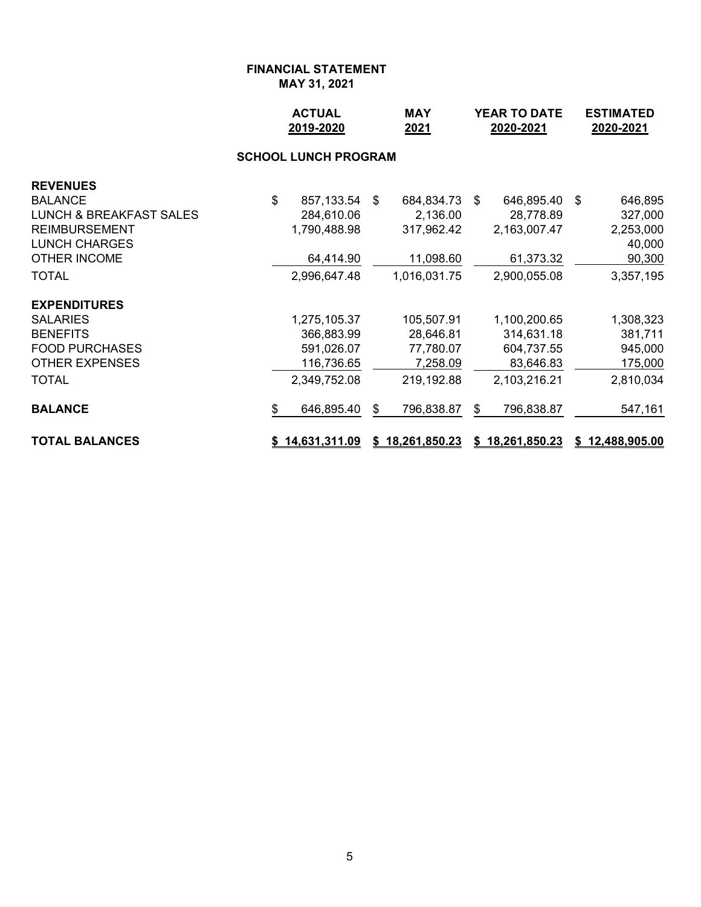|                                    | <b>ACTUAL</b><br>2019-2020 |                             |    |                 |    | <b>YEAR TO DATE</b><br>2020-2021 | <b>ESTIMATED</b><br>2020-2021 |                 |  |
|------------------------------------|----------------------------|-----------------------------|----|-----------------|----|----------------------------------|-------------------------------|-----------------|--|
|                                    |                            | <b>SCHOOL LUNCH PROGRAM</b> |    |                 |    |                                  |                               |                 |  |
| <b>REVENUES</b>                    |                            |                             |    |                 |    |                                  |                               |                 |  |
| <b>BALANCE</b>                     | \$                         | 857,133.54                  | \$ | 684,834.73 \$   |    | 646,895.40 \$                    |                               | 646,895         |  |
| <b>LUNCH &amp; BREAKFAST SALES</b> |                            | 284,610.06                  |    | 2,136.00        |    | 28,778.89                        |                               | 327,000         |  |
| <b>REIMBURSEMENT</b>               |                            | 1,790,488.98                |    | 317,962.42      |    | 2,163,007.47                     |                               | 2,253,000       |  |
| <b>LUNCH CHARGES</b>               |                            |                             |    |                 |    |                                  |                               | 40,000          |  |
| <b>OTHER INCOME</b>                |                            | 64,414.90                   |    | 11,098.60       |    | 61,373.32                        |                               | 90,300          |  |
| <b>TOTAL</b>                       |                            | 2,996,647.48                |    | 1,016,031.75    |    | 2,900,055.08                     |                               | 3,357,195       |  |
| <b>EXPENDITURES</b>                |                            |                             |    |                 |    |                                  |                               |                 |  |
| <b>SALARIES</b>                    |                            | 1,275,105.37                |    | 105,507.91      |    | 1,100,200.65                     |                               | 1,308,323       |  |
| <b>BENEFITS</b>                    |                            | 366,883.99                  |    | 28,646.81       |    | 314,631.18                       |                               | 381,711         |  |
| <b>FOOD PURCHASES</b>              |                            | 591,026.07                  |    | 77,780.07       |    | 604,737.55                       |                               | 945,000         |  |
| <b>OTHER EXPENSES</b>              |                            | 116,736.65                  |    | 7,258.09        |    | 83,646.83                        |                               | 175,000         |  |
| <b>TOTAL</b>                       |                            | 2,349,752.08                |    | 219,192.88      |    | 2,103,216.21                     |                               | 2,810,034       |  |
| <b>BALANCE</b>                     | \$                         | 646,895.40                  | \$ | 796,838.87      | \$ | 796,838.87                       |                               | 547,161         |  |
| <b>TOTAL BALANCES</b>              |                            | <u>\$14,631,311.09</u>      |    | \$18,261,850.23 |    | \$18,261,850.23                  |                               | \$12,488,905.00 |  |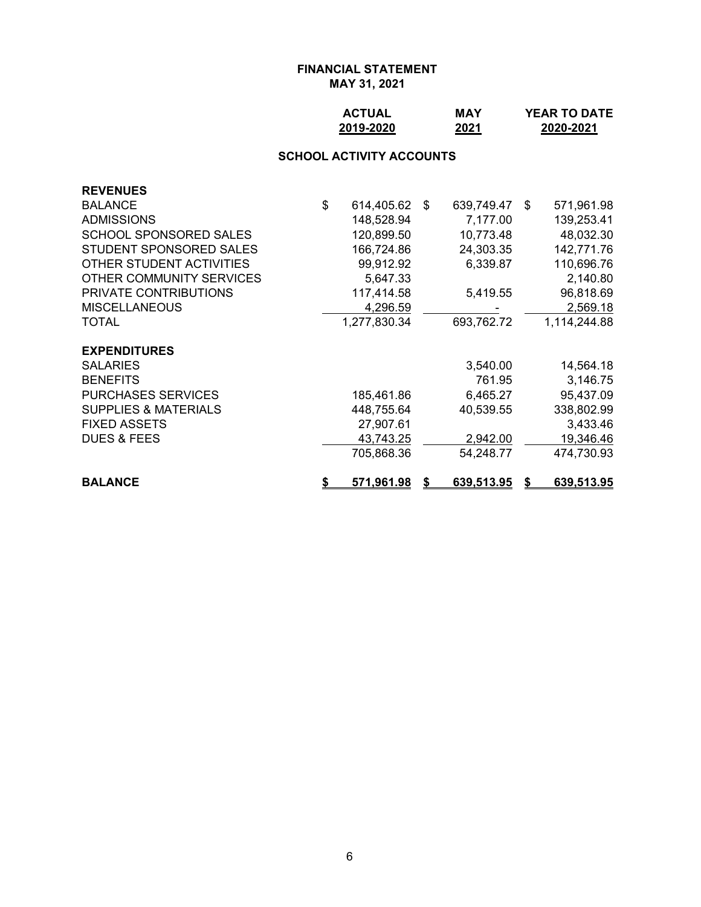| <b>ACTUAL</b> | MAY  | <b>YEAR TO DATE</b> |
|---------------|------|---------------------|
| 2019-2020     | 2021 | 2020-2021           |

## **SCHOOL ACTIVITY ACCOUNTS**

| <b>REVENUES</b>                 |                  |    |            |    |              |
|---------------------------------|------------------|----|------------|----|--------------|
| <b>BALANCE</b>                  | \$<br>614,405.62 | -S | 639,749.47 | -S | 571,961.98   |
| <b>ADMISSIONS</b>               | 148,528.94       |    | 7,177.00   |    | 139,253.41   |
| <b>SCHOOL SPONSORED SALES</b>   | 120,899.50       |    | 10,773.48  |    | 48,032.30    |
| STUDENT SPONSORED SALES         | 166,724.86       |    | 24,303.35  |    | 142,771.76   |
| OTHER STUDENT ACTIVITIES        | 99,912.92        |    | 6,339.87   |    | 110,696.76   |
| OTHER COMMUNITY SERVICES        | 5,647.33         |    |            |    | 2,140.80     |
| PRIVATE CONTRIBUTIONS           | 117,414.58       |    | 5,419.55   |    | 96,818.69    |
| <b>MISCELLANEOUS</b>            | 4,296.59         |    |            |    | 2,569.18     |
| TOTAL                           | 1,277,830.34     |    | 693,762.72 |    | 1,114,244.88 |
| <b>EXPENDITURES</b>             |                  |    |            |    |              |
| <b>SALARIES</b>                 |                  |    | 3,540.00   |    | 14,564.18    |
| <b>BENEFITS</b>                 |                  |    | 761.95     |    | 3,146.75     |
| <b>PURCHASES SERVICES</b>       | 185,461.86       |    | 6,465.27   |    | 95,437.09    |
| <b>SUPPLIES &amp; MATERIALS</b> | 448,755.64       |    | 40,539.55  |    | 338,802.99   |
| <b>FIXED ASSETS</b>             | 27,907.61        |    |            |    | 3,433.46     |
| <b>DUES &amp; FEES</b>          | 43,743.25        |    | 2,942.00   |    | 19,346.46    |
|                                 | 705,868.36       |    | 54,248.77  |    | 474,730.93   |
| <b>BALANCE</b>                  | 571,961.98       | S  | 639,513.95 | S  | 639,513.95   |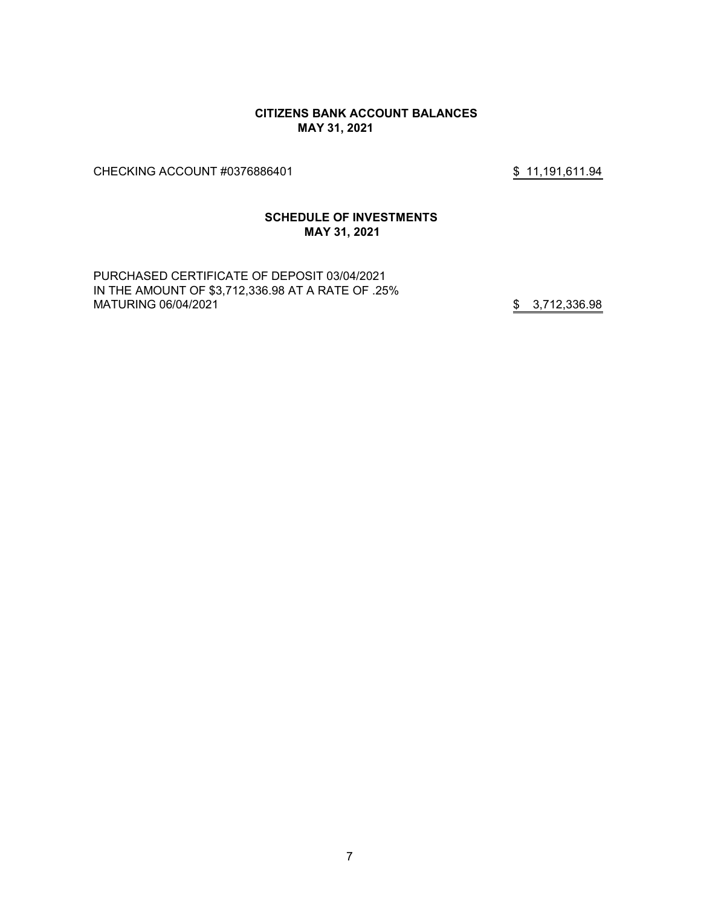#### **CITIZENS BANK ACCOUNT BALANCES MAY 31, 2021**

CHECKING ACCOUNT #0376886401 \$ 11,191,611.94

#### **SCHEDULE OF INVESTMENTS MAY 31, 2021**

PURCHASED CERTIFICATE OF DEPOSIT 03/04/2021 IN THE AMOUNT OF \$3,712,336.98 AT A RATE OF .25% MATURING 06/04/2021 **\$ 3,712,336.98**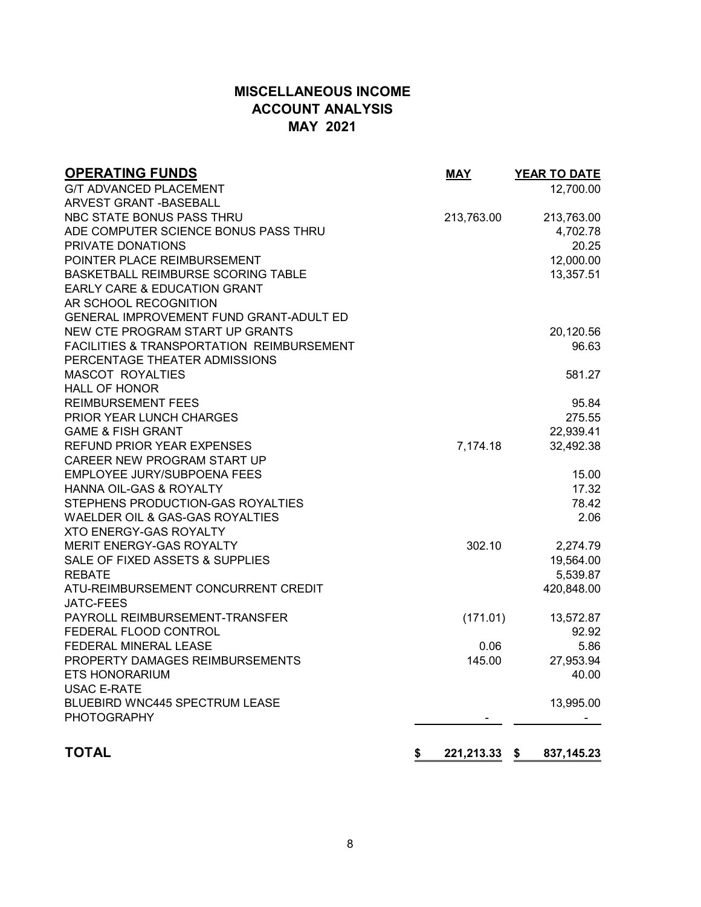# **MISCELLANEOUS INCOME ACCOUNT ANALYSIS MAY 2021**

| <b>OPERATING FUNDS</b>                     | <b>MAY</b>          | <b>YEAR TO DATE</b> |
|--------------------------------------------|---------------------|---------------------|
| <b>G/T ADVANCED PLACEMENT</b>              |                     | 12,700.00           |
| ARVEST GRANT - BASEBALL                    |                     |                     |
| NBC STATE BONUS PASS THRU                  | 213,763.00          | 213,763.00          |
| ADE COMPUTER SCIENCE BONUS PASS THRU       |                     | 4,702.78            |
| PRIVATE DONATIONS                          |                     | 20.25               |
| POINTER PLACE REIMBURSEMENT                |                     | 12,000.00           |
| BASKETBALL REIMBURSE SCORING TABLE         |                     | 13,357.51           |
| EARLY CARE & EDUCATION GRANT               |                     |                     |
| AR SCHOOL RECOGNITION                      |                     |                     |
| GENERAL IMPROVEMENT FUND GRANT-ADULT ED    |                     |                     |
| NEW CTE PROGRAM START UP GRANTS            |                     | 20,120.56           |
| FACILITIES & TRANSPORTATION REIMBURSEMENT  |                     | 96.63               |
| PERCENTAGE THEATER ADMISSIONS              |                     |                     |
| <b>MASCOT ROYALTIES</b>                    |                     | 581.27              |
| <b>HALL OF HONOR</b>                       |                     |                     |
| <b>REIMBURSEMENT FEES</b>                  |                     | 95.84               |
| PRIOR YEAR LUNCH CHARGES                   |                     | 275.55              |
| <b>GAME &amp; FISH GRANT</b>               |                     | 22,939.41           |
| REFUND PRIOR YEAR EXPENSES                 | 7,174.18            | 32,492.38           |
| CAREER NEW PROGRAM START UP                |                     |                     |
| <b>EMPLOYEE JURY/SUBPOENA FEES</b>         |                     | 15.00               |
| HANNA OIL-GAS & ROYALTY                    |                     | 17.32               |
| STEPHENS PRODUCTION-GAS ROYALTIES          |                     | 78.42               |
| <b>WAELDER OIL &amp; GAS-GAS ROYALTIES</b> |                     | 2.06                |
| <b>XTO ENERGY-GAS ROYALTY</b>              |                     |                     |
| <b>MERIT ENERGY-GAS ROYALTY</b>            | 302.10              | 2,274.79            |
| SALE OF FIXED ASSETS & SUPPLIES            |                     | 19,564.00           |
| <b>REBATE</b>                              |                     | 5,539.87            |
| ATU-REIMBURSEMENT CONCURRENT CREDIT        |                     | 420,848.00          |
| <b>JATC-FEES</b>                           |                     |                     |
| PAYROLL REIMBURSEMENT-TRANSFER             | (171.01)            | 13,572.87           |
| FEDERAL FLOOD CONTROL                      |                     | 92.92               |
| FEDERAL MINERAL LEASE                      | 0.06                | 5.86                |
| PROPERTY DAMAGES REIMBURSEMENTS            | 145.00              | 27,953.94           |
| <b>ETS HONORARIUM</b>                      |                     | 40.00               |
| <b>USAC E-RATE</b>                         |                     |                     |
| BLUEBIRD WNC445 SPECTRUM LEASE             |                     | 13,995.00           |
| <b>PHOTOGRAPHY</b>                         |                     |                     |
|                                            |                     |                     |
| <b>TOTAL</b>                               | \$<br>221,213.33 \$ | 837, 145.23         |